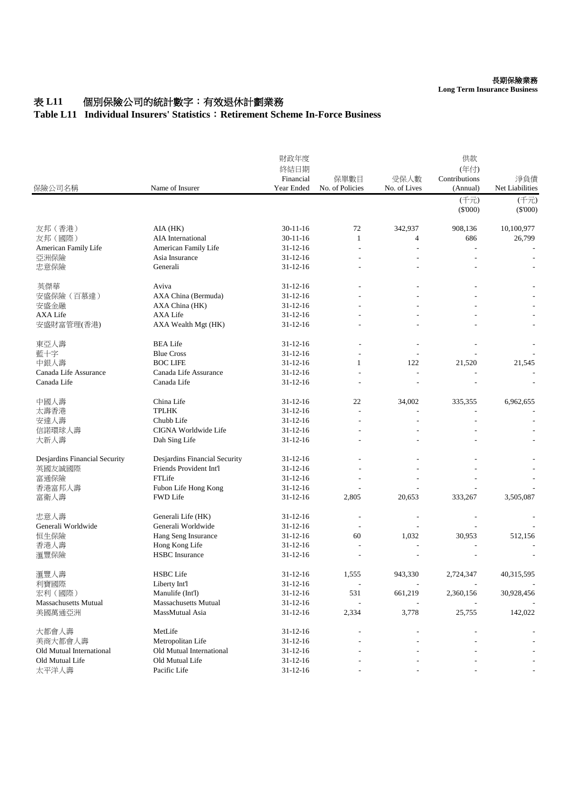## 表 **L11** 個別保險公司的統計數字:有效退休計劃業務

## **Table L11 Individual Insurers' Statistics**:**Retirement Scheme In-Force Business**

| 保險公司名稱                        | Name of Insurer               | 財政年度<br>終結日期<br>Financial<br>Year Ended | 保單數目<br>No. of Policies | 受保人數<br>No. of Lives | 供款<br>(年付)<br>Contributions<br>(Annual) | 淨負債<br>Net Liabilities |
|-------------------------------|-------------------------------|-----------------------------------------|-------------------------|----------------------|-----------------------------------------|------------------------|
|                               |                               |                                         |                         |                      | (千元)                                    | (千元)                   |
|                               |                               |                                         |                         |                      | $(\$'000)$                              | $(\$'000)$             |
| 友邦 (香港)                       | AIA (HK)                      | $30 - 11 - 16$                          | 72                      | 342,937              | 908,136                                 | 10,100,977             |
| 友邦 (國際)                       | <b>AIA</b> International      | $30 - 11 - 16$                          | 1                       | 4                    | 686                                     | 26,799                 |
| American Family Life          | American Family Life          | $31 - 12 - 16$                          |                         |                      |                                         |                        |
| 亞洲保險                          | Asia Insurance                | $31 - 12 - 16$                          |                         |                      |                                         |                        |
| 忠意保險                          | Generali                      | $31 - 12 - 16$                          |                         |                      |                                         |                        |
| 英傑華                           | Aviva                         | $31 - 12 - 16$                          |                         |                      |                                         |                        |
| 安盛保險(百慕達)                     | AXA China (Bermuda)           | $31 - 12 - 16$                          |                         |                      |                                         |                        |
| 安盛金融                          | AXA China (HK)                | $31 - 12 - 16$                          |                         |                      |                                         |                        |
| <b>AXA Life</b>               | <b>AXA Life</b>               | $31 - 12 - 16$                          |                         |                      |                                         |                        |
| 安盛財富管理(香港)                    | AXA Wealth Mgt (HK)           | $31 - 12 - 16$                          |                         |                      |                                         |                        |
| 東亞人壽                          | <b>BEA Life</b>               | $31 - 12 - 16$                          |                         |                      |                                         |                        |
| 藍十字                           | <b>Blue Cross</b>             | $31 - 12 - 16$                          |                         |                      |                                         |                        |
| 中銀人壽                          | <b>BOC LIFE</b>               | $31 - 12 - 16$                          | $\mathbf{1}$            | 122                  | 21,520                                  | 21,545                 |
| Canada Life Assurance         | Canada Life Assurance         | $31 - 12 - 16$                          | $\overline{a}$          |                      |                                         |                        |
| Canada Life                   | Canada Life                   | $31 - 12 - 16$                          |                         |                      |                                         |                        |
| 中國人壽                          | China Life                    | $31 - 12 - 16$                          | 22                      | 34,002               | 335,355                                 | 6,962,655              |
| 太壽香港                          | <b>TPLHK</b>                  | $31 - 12 - 16$                          |                         |                      |                                         |                        |
| 安達人壽                          | Chubb Life                    | $31 - 12 - 16$                          |                         |                      |                                         |                        |
| 信諾環球人壽                        | CIGNA Worldwide Life          | $31 - 12 - 16$                          |                         |                      |                                         |                        |
| 大新人壽                          | Dah Sing Life                 | $31 - 12 - 16$                          |                         |                      |                                         |                        |
| Desjardins Financial Security | Desjardins Financial Security | $31 - 12 - 16$                          |                         |                      |                                         |                        |
| 英國友誠國際                        | Friends Provident Int'l       | $31 - 12 - 16$                          |                         |                      |                                         |                        |
| 富通保險                          | FTLife                        | $31 - 12 - 16$                          |                         |                      |                                         |                        |
| 香港富邦人壽                        | Fubon Life Hong Kong          | $31 - 12 - 16$                          |                         |                      |                                         |                        |
| 富衛人壽                          | <b>FWD Life</b>               | $31 - 12 - 16$                          | 2,805                   | 20,653               | 333,267                                 | 3,505,087              |
| 忠意人壽                          | Generali Life (HK)            | $31 - 12 - 16$                          |                         |                      |                                         |                        |
| Generali Worldwide            | Generali Worldwide            | $31 - 12 - 16$                          |                         |                      |                                         |                        |
| 恒生保險                          | Hang Seng Insurance           | $31 - 12 - 16$                          | 60                      | 1,032                | 30,953                                  | 512,156                |
| 香港人壽                          | Hong Kong Life                | $31 - 12 - 16$                          |                         |                      |                                         |                        |
| 滙豐保險                          | <b>HSBC</b> Insurance         | $31 - 12 - 16$                          |                         |                      |                                         |                        |
| 滙豐人壽                          | <b>HSBC</b> Life              | $31 - 12 - 16$                          | 1,555                   | 943,330              | 2,724,347                               | 40,315,595             |
| 利寶國際                          | Liberty Int'l                 | $31 - 12 - 16$                          |                         |                      |                                         |                        |
| 宏利 (國際)                       | Manulife (Int'l)              | $31 - 12 - 16$                          | 531                     | 661,219              | 2,360,156                               | 30,928,456             |
| <b>Massachusetts Mutual</b>   | <b>Massachusetts Mutual</b>   | $31 - 12 - 16$                          |                         |                      |                                         |                        |
| 美國萬通亞洲                        | MassMutual Asia               | $31 - 12 - 16$                          | 2,334                   | 3,778                | 25,755                                  | 142,022                |
| 大都會人壽                         | MetLife                       | $31 - 12 - 16$                          |                         |                      |                                         |                        |
| 美商大都會人壽                       | Metropolitan Life             | $31 - 12 - 16$                          |                         |                      |                                         |                        |
| Old Mutual International      | Old Mutual International      | $31 - 12 - 16$                          |                         |                      |                                         |                        |
| Old Mutual Life               | Old Mutual Life               | $31 - 12 - 16$                          |                         |                      |                                         |                        |
| 太平洋人壽                         | Pacific Life                  | $31 - 12 - 16$                          |                         |                      |                                         |                        |